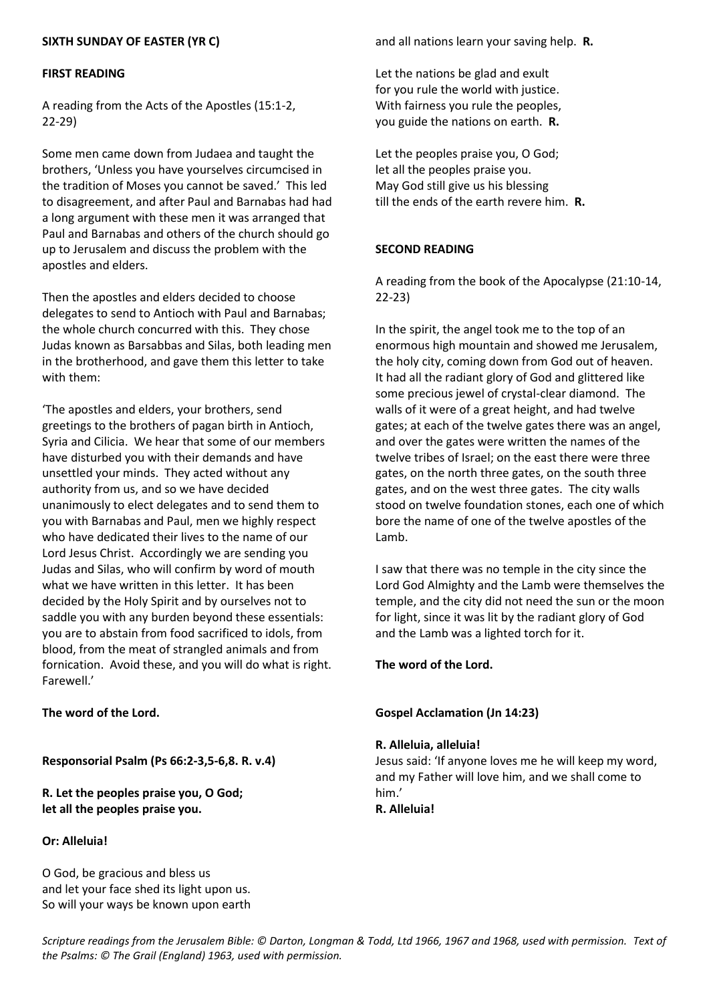# **SIXTH SUNDAY OF EASTER (YR C)**

#### **FIRST READING**

A reading from the Acts of the Apostles (15:1-2, 22-29)

Some men came down from Judaea and taught the brothers, 'Unless you have yourselves circumcised in the tradition of Moses you cannot be saved.' This led to disagreement, and after Paul and Barnabas had had a long argument with these men it was arranged that Paul and Barnabas and others of the church should go up to Jerusalem and discuss the problem with the apostles and elders.

Then the apostles and elders decided to choose delegates to send to Antioch with Paul and Barnabas; the whole church concurred with this. They chose Judas known as Barsabbas and Silas, both leading men in the brotherhood, and gave them this letter to take with them:

'The apostles and elders, your brothers, send greetings to the brothers of pagan birth in Antioch, Syria and Cilicia. We hear that some of our members have disturbed you with their demands and have unsettled your minds. They acted without any authority from us, and so we have decided unanimously to elect delegates and to send them to you with Barnabas and Paul, men we highly respect who have dedicated their lives to the name of our Lord Jesus Christ. Accordingly we are sending you Judas and Silas, who will confirm by word of mouth what we have written in this letter. It has been decided by the Holy Spirit and by ourselves not to saddle you with any burden beyond these essentials: you are to abstain from food sacrificed to idols, from blood, from the meat of strangled animals and from fornication. Avoid these, and you will do what is right. Farewell.'

**The word of the Lord.**

**Responsorial Psalm (Ps 66:2-3,5-6,8. R. v.4)**

**R. Let the peoples praise you, O God; let all the peoples praise you.**

## **Or: Alleluia!**

O God, be gracious and bless us and let your face shed its light upon us. So will your ways be known upon earth and all nations learn your saving help. **R.**

Let the nations be glad and exult for you rule the world with justice. With fairness you rule the peoples, you guide the nations on earth. **R.**

Let the peoples praise you, O God; let all the peoples praise you. May God still give us his blessing till the ends of the earth revere him. **R.**

## **SECOND READING**

A reading from the book of the Apocalypse (21:10-14, 22-23)

In the spirit, the angel took me to the top of an enormous high mountain and showed me Jerusalem, the holy city, coming down from God out of heaven. It had all the radiant glory of God and glittered like some precious jewel of crystal-clear diamond. The walls of it were of a great height, and had twelve gates; at each of the twelve gates there was an angel, and over the gates were written the names of the twelve tribes of Israel; on the east there were three gates, on the north three gates, on the south three gates, and on the west three gates. The city walls stood on twelve foundation stones, each one of which bore the name of one of the twelve apostles of the Lamb.

I saw that there was no temple in the city since the Lord God Almighty and the Lamb were themselves the temple, and the city did not need the sun or the moon for light, since it was lit by the radiant glory of God and the Lamb was a lighted torch for it.

**The word of the Lord.**

#### **Gospel Acclamation (Jn 14:23)**

#### **R. Alleluia, alleluia!**

Jesus said: 'If anyone loves me he will keep my word, and my Father will love him, and we shall come to him.' **R. Alleluia!**